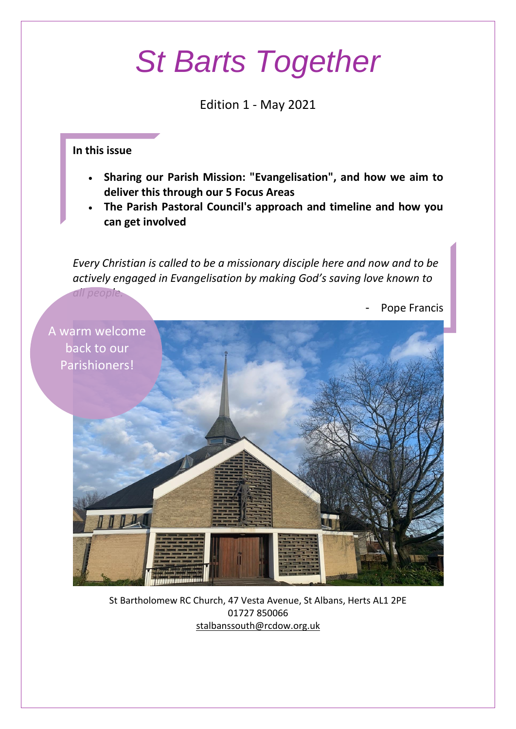# *St Barts Together*

Edition 1 - May 2021

#### **In this issue**

- **Sharing our Parish Mission: "Evangelisation", and how we aim to deliver this through our 5 Focus Areas**
- **The Parish Pastoral Council's approach and timeline and how you can get involved**

*Every Christian is called to be a missionary disciple here and now and to be actively engaged in Evangelisation by making God's saving love known to* 



St Bartholomew RC Church, 47 Vesta Avenue, St Albans, Herts AL1 2PE 01727 850066 [stalbanssouth@rcdow.org.uk](mailto:stalbanssouth@rcdow.org.uk)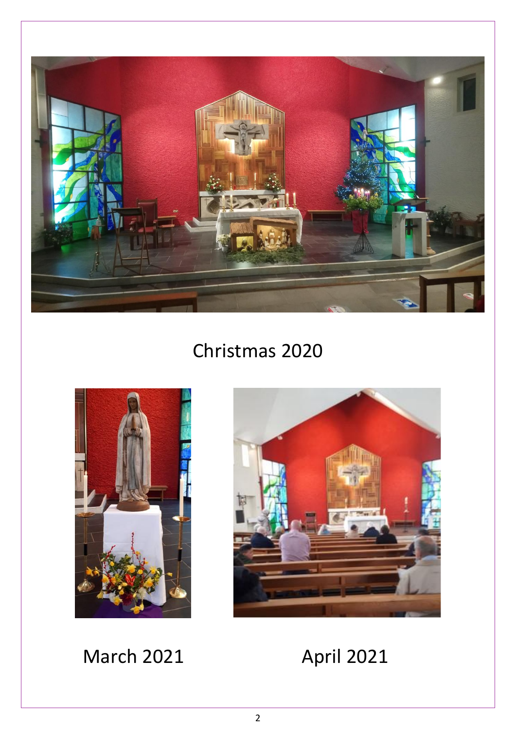

### Christmas 2020



March 2021 **April 2021** 

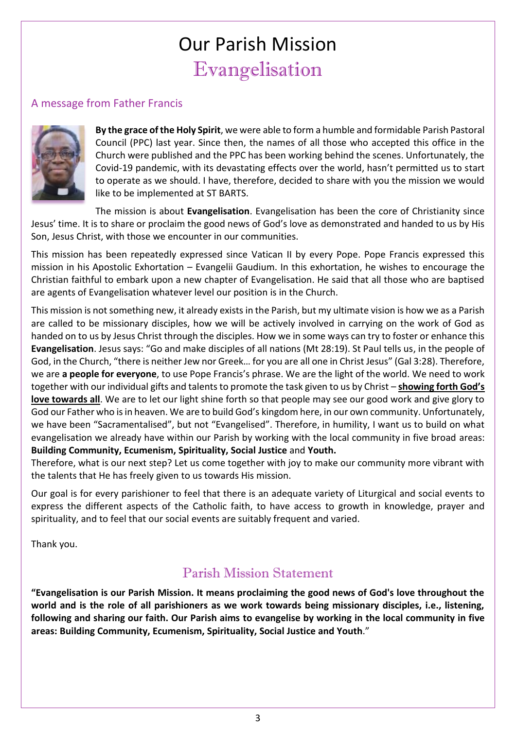### Our Parish Mission Evangelisation

#### A message from Father Francis



**By the grace of the Holy Spirit**, we were able to form a humble and formidable Parish Pastoral Council (PPC) last year. Since then, the names of all those who accepted this office in the Church were published and the PPC has been working behind the scenes. Unfortunately, the Covid-19 pandemic, with its devastating effects over the world, hasn't permitted us to start to operate as we should. I have, therefore, decided to share with you the mission we would like to be implemented at ST BARTS.

The mission is about **Evangelisation**. Evangelisation has been the core of Christianity since Jesus' time. It is to share or proclaim the good news of God's love as demonstrated and handed to us by His Son, Jesus Christ, with those we encounter in our communities.

This mission has been repeatedly expressed since Vatican II by every Pope. Pope Francis expressed this mission in his Apostolic Exhortation – Evangelii Gaudium. In this exhortation, he wishes to encourage the Christian faithful to embark upon a new chapter of Evangelisation. He said that all those who are baptised are agents of Evangelisation whatever level our position is in the Church.

This mission is not something new, it already exists in the Parish, but my ultimate vision is how we as a Parish are called to be missionary disciples, how we will be actively involved in carrying on the work of God as handed on to us by Jesus Christ through the disciples. How we in some ways can try to foster or enhance this **Evangelisation**. Jesus says: "Go and make disciples of all nations (Mt 28:19). St Paul tells us, in the people of God, in the Church, "there is neither Jew nor Greek… for you are all one in Christ Jesus" (Gal 3:28). Therefore, we are **a people for everyone**, to use Pope Francis's phrase. We are the light of the world. We need to work together with our individual gifts and talents to promote the task given to us by Christ – **showing forth God's love towards all**. We are to let our light shine forth so that people may see our good work and give glory to God our Father who is in heaven. We are to build God's kingdom here, in our own community. Unfortunately, we have been "Sacramentalised", but not "Evangelised". Therefore, in humility, I want us to build on what evangelisation we already have within our Parish by working with the local community in five broad areas: **Building Community, Ecumenism, Spirituality, Social Justice** and **Youth.**

Therefore, what is our next step? Let us come together with joy to make our community more vibrant with the talents that He has freely given to us towards His mission.

Our goal is for every parishioner to feel that there is an adequate variety of Liturgical and social events to express the different aspects of the Catholic faith, to have access to growth in knowledge, prayer and spirituality, and to feel that our social events are suitably frequent and varied.

Thank you.

### Parish Mission Statement

**"Evangelisation is our Parish Mission. It means proclaiming the good news of God's love throughout the world and is the role of all parishioners as we work towards being missionary disciples, i.e., listening, following and sharing our faith. Our Parish aims to evangelise by working in the local community in five areas: Building Community, Ecumenism, Spirituality, Social Justice and Youth**."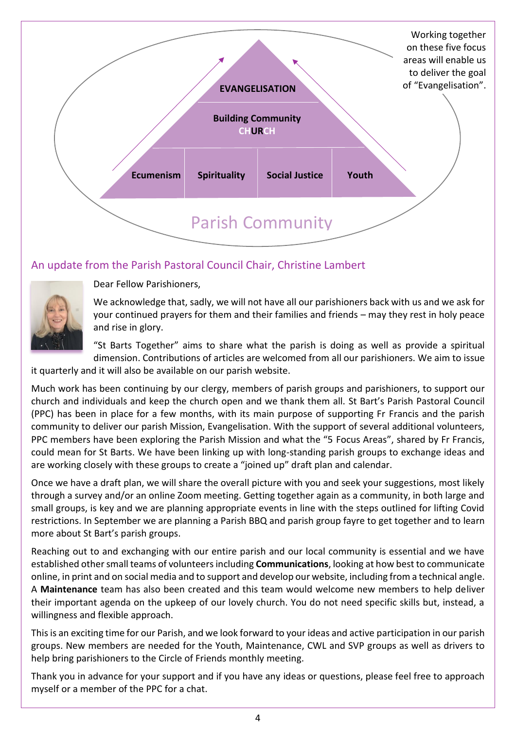

#### An update from the Parish Pastoral Council Chair, Christine Lambert



Dear Fellow Parishioners,

We acknowledge that, sadly, we will not have all our parishioners back with us and we ask for your continued prayers for them and their families and friends – may they rest in holy peace and rise in glory.

"St Barts Together" aims to share what the parish is doing as well as provide a spiritual dimension. Contributions of articles are welcomed from all our parishioners. We aim to issue

it quarterly and it will also be available on our parish website.

Much work has been continuing by our clergy, members of parish groups and parishioners, to support our church and individuals and keep the church open and we thank them all. St Bart's Parish Pastoral Council (PPC) has been in place for a few months, with its main purpose of supporting Fr Francis and the parish community to deliver our parish Mission, Evangelisation. With the support of several additional volunteers, PPC members have been exploring the Parish Mission and what the "5 Focus Areas", shared by Fr Francis, could mean for St Barts. We have been linking up with long-standing parish groups to exchange ideas and are working closely with these groups to create a "joined up" draft plan and calendar.

Once we have a draft plan, we will share the overall picture with you and seek your suggestions, most likely through a survey and/or an online Zoom meeting. Getting together again as a community, in both large and small groups, is key and we are planning appropriate events in line with the steps outlined for lifting Covid restrictions. In September we are planning a Parish BBQ and parish group fayre to get together and to learn more about St Bart's parish groups.

Reaching out to and exchanging with our entire parish and our local community is essential and we have established other small teams of volunteers including **Communications**, looking at how best to communicate online, in print and on social media and to support and develop our website, including from a technical angle. A **Maintenance** team has also been created and this team would welcome new members to help deliver their important agenda on the upkeep of our lovely church. You do not need specific skills but, instead, a willingness and flexible approach.

This is an exciting time for our Parish, and we look forward to your ideas and active participation in our parish groups. New members are needed for the Youth, Maintenance, CWL and SVP groups as well as drivers to help bring parishioners to the Circle of Friends monthly meeting.

Thank you in advance for your support and if you have any ideas or questions, please feel free to approach myself or a member of the PPC for a chat.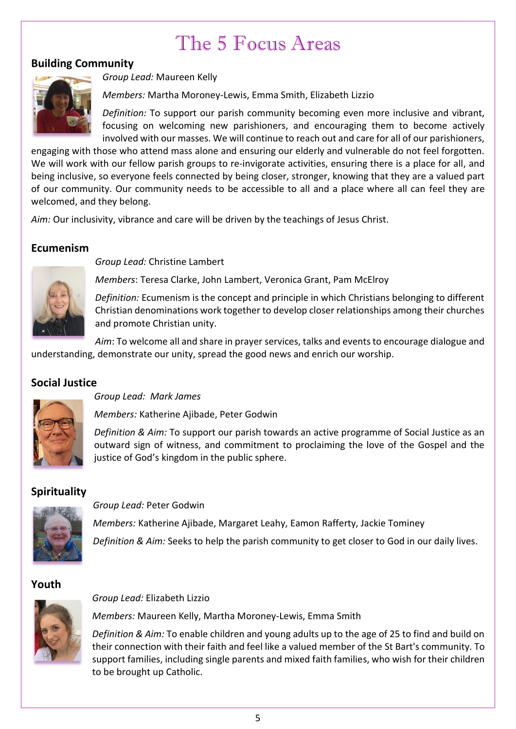### The 5 Focus Areas

#### **Building Community**



*Group Lead:* Maureen Kelly

*Members:* Martha Moroney-Lewis, Emma Smith, Elizabeth Lizzio

*Definition:* To support our parish community becoming even more inclusive and vibrant, focusing on welcoming new parishioners, and encouraging them to become actively involved with our masses. We will continue to reach out and care for all of our parishioners,

engaging with those who attend mass alone and ensuring our elderly and vulnerable do not feel forgotten. We will work with our fellow parish groups to re-invigorate activities, ensuring there is a place for all, and being inclusive, so everyone feels connected by being closer, stronger, knowing that they are a valued part of our community. Our community needs to be accessible to all and a place where all can feel they are welcomed, and they belong.

*Aim:* Our inclusivity, vibrance and care will be driven by the teachings of Jesus Christ.

#### **Ecumenism**



*Group Lead:* Christine Lambert

*Members*: Teresa Clarke, John Lambert, Veronica Grant, Pam McElroy

*Definition:* Ecumenism is the concept and principle in which Christians belonging to different Christian denominations work together to develop closer relationships among their churches and promote Christian unity.

*Aim*: To welcome all and share in prayer services, talks and events to encourage dialogue and understanding, demonstrate our unity, spread the good news and enrich our worship.

#### **Social Justice**



*Group Lead: Mark James*

*Members:* Katherine Ajibade, Peter Godwin

*Definition & Aim:* To support our parish towards an active programme of Social Justice as an outward sign of witness, and commitment to proclaiming the love of the Gospel and the justice of God's kingdom in the public sphere.

#### **Spirituality**



*Group Lead:* Peter Godwin

*Group Lead:* Elizabeth Lizzio

*Members:* Katherine Ajibade, Margaret Leahy, Eamon Rafferty, Jackie Tominey

*Definition & Aim:* Seeks to help the parish community to get closer to God in our daily lives.

#### **Youth**

*Members:* Maureen Kelly, Martha Moroney-Lewis, Emma Smith

*Definition & Aim:* To enable children and young adults up to the age of 25 to find and build on their connection with their faith and feel like a valued member of the St Bart's community. To support families, including single parents and mixed faith families, who wish for their children to be brought up Catholic.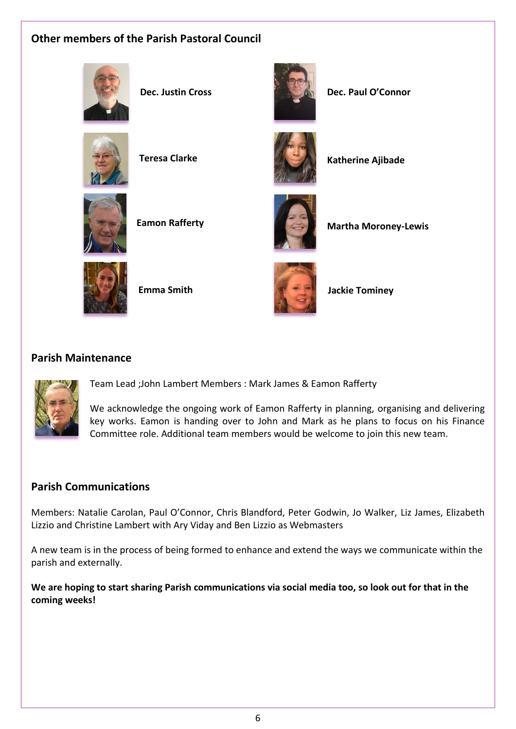### **Other members of the Parish Pastoral Council**





**Dec. Justin Cross Dec. Paul O'Connor**



**Teresa Clarke Katherine Ajibade** 







**Eamon Rafferty Martha Moroney-Lewis** 



**Emma Smith Jackie Tominey**

#### **Parish Maintenance**



Team Lead ;John Lambert Members : Mark James & Eamon Rafferty

We acknowledge the ongoing work of Eamon Rafferty in planning, organising and delivering key works. Eamon is handing over to John and Mark as he plans to focus on his Finance Committee role. Additional team members would be welcome to join this new team.

#### **Parish Communications**

Members: Natalie Carolan, Paul O'Connor, Chris Blandford, Peter Godwin, Jo Walker, Liz James, Elizabeth Lizzio and Christine Lambert with Ary Viday and Ben Lizzio as Webmasters

A new team is in the process of being formed to enhance and extend the ways we communicate within the parish and externally.

**We are hoping to start sharing Parish communications via social media too, so look out for that in the coming weeks!**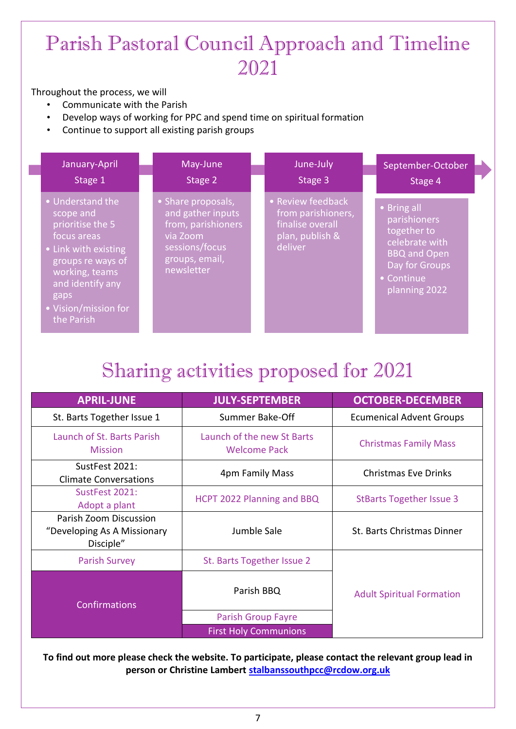### Parish Pastoral Council Approach and Timeline 2021

#### Throughout the process, we will

- Communicate with the Parish
- Develop ways of working for PPC and spend time on spiritual formation
- Continue to support all existing parish groups

| January-April                                                                                                                                                                                     | May-June                                                                                                                    | June-July                                                                                 | September-October                                                                                                                    |
|---------------------------------------------------------------------------------------------------------------------------------------------------------------------------------------------------|-----------------------------------------------------------------------------------------------------------------------------|-------------------------------------------------------------------------------------------|--------------------------------------------------------------------------------------------------------------------------------------|
| Stage 1                                                                                                                                                                                           | Stage 2                                                                                                                     | Stage 3                                                                                   | Stage 4                                                                                                                              |
| • Understand the<br>scope and<br>prioritise the 5<br>focus areas<br>• Link with existing<br>groups re ways of<br>working, teams<br>and identify any<br>gaps<br>• Vision/mission for<br>the Parish | • Share proposals,<br>and gather inputs<br>from, parishioners<br>via Zoom<br>sessions/focus<br>groups, email,<br>newsletter | • Review feedback<br>from parishioners,<br>finalise overall<br>plan, publish &<br>deliver | • Bring all<br>parishioners<br>together to<br>celebrate with<br><b>BBQ and Open</b><br>Day for Groups<br>• Continue<br>planning 2022 |

## Sharing activities proposed for 2021

| <b>APRIL-JUNE</b>                                                  | <b>JULY-SEPTEMBER</b>                             | <b>OCTOBER-DECEMBER</b>          |  |
|--------------------------------------------------------------------|---------------------------------------------------|----------------------------------|--|
| St. Barts Together Issue 1                                         | Summer Bake-Off                                   | <b>Ecumenical Advent Groups</b>  |  |
| Launch of St. Barts Parish<br><b>Mission</b>                       | Launch of the new St Barts<br><b>Welcome Pack</b> | <b>Christmas Family Mass</b>     |  |
| SustFest 2021:<br><b>Climate Conversations</b>                     | 4pm Family Mass                                   | <b>Christmas Eve Drinks</b>      |  |
| SustFest 2021:<br>Adopt a plant                                    | HCPT 2022 Planning and BBQ                        | <b>StBarts Together Issue 3</b>  |  |
| Parish Zoom Discussion<br>"Developing As A Missionary<br>Disciple" | Jumble Sale                                       | St. Barts Christmas Dinner       |  |
| <b>Parish Survey</b>                                               | St. Barts Together Issue 2                        | <b>Adult Spiritual Formation</b> |  |
| <b>Confirmations</b>                                               | Parish BBQ                                        |                                  |  |
|                                                                    | <b>Parish Group Fayre</b>                         |                                  |  |
|                                                                    | <b>First Holy Communions</b>                      |                                  |  |

**To find out more please check the website. To participate, please contact the relevant group lead in person or Christine Lambert [stalbanssouthpcc@rcdow.org.uk](mailto:stalbanssouthpcc@rcdow.org.uk)**